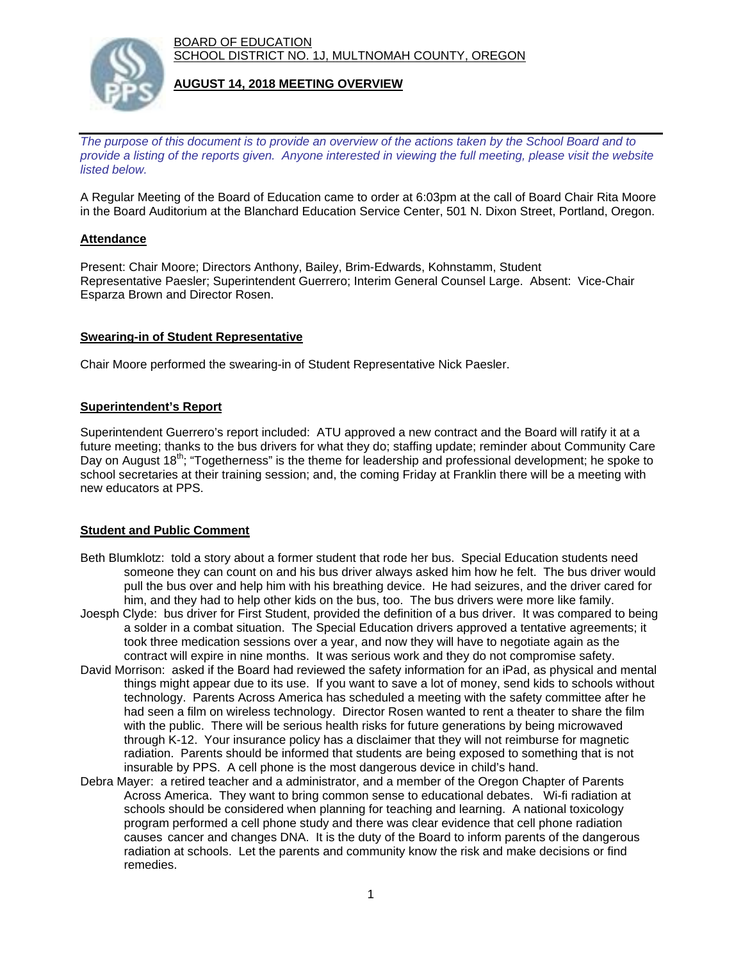BOARD OF EDUCATION SCHOOL DISTRICT NO. 1J, MULTNOMAH COUNTY, OREGON



## **AUGUST 14, 2018 MEETING OVERVIEW**

*The purpose of this document is to provide an overview of the actions taken by the School Board and to provide a listing of the reports given. Anyone interested in viewing the full meeting, please visit the website listed below.*

A Regular Meeting of the Board of Education came to order at 6:03pm at the call of Board Chair Rita Moore in the Board Auditorium at the Blanchard Education Service Center, 501 N. Dixon Street, Portland, Oregon.

#### **Attendance**

Present: Chair Moore; Directors Anthony, Bailey, Brim-Edwards, Kohnstamm, Student Representative Paesler; Superintendent Guerrero; Interim General Counsel Large. Absent: Vice-Chair Esparza Brown and Director Rosen.

#### **Swearing-in of Student Representative**

Chair Moore performed the swearing-in of Student Representative Nick Paesler.

#### **Superintendent's Report**

Superintendent Guerrero's report included: ATU approved a new contract and the Board will ratify it at a future meeting; thanks to the bus drivers for what they do; staffing update; reminder about Community Care Day on August 18<sup>th</sup>; "Togetherness" is the theme for leadership and professional development; he spoke to school secretaries at their training session; and, the coming Friday at Franklin there will be a meeting with new educators at PPS.

# **Student and Public Comment**

- Beth Blumklotz: told a story about a former student that rode her bus. Special Education students need someone they can count on and his bus driver always asked him how he felt. The bus driver would pull the bus over and help him with his breathing device. He had seizures, and the driver cared for him, and they had to help other kids on the bus, too. The bus drivers were more like family.
- Joesph Clyde: bus driver for First Student, provided the definition of a bus driver. It was compared to being a solder in a combat situation. The Special Education drivers approved a tentative agreements; it took three medication sessions over a year, and now they will have to negotiate again as the contract will expire in nine months. It was serious work and they do not compromise safety.
- David Morrison: asked if the Board had reviewed the safety information for an iPad, as physical and mental things might appear due to its use. If you want to save a lot of money, send kids to schools without technology. Parents Across America has scheduled a meeting with the safety committee after he had seen a film on wireless technology. Director Rosen wanted to rent a theater to share the film with the public. There will be serious health risks for future generations by being microwaved through K-12. Your insurance policy has a disclaimer that they will not reimburse for magnetic radiation. Parents should be informed that students are being exposed to something that is not insurable by PPS. A cell phone is the most dangerous device in child's hand.
- Debra Mayer: a retired teacher and a administrator, and a member of the Oregon Chapter of Parents Across America. They want to bring common sense to educational debates. Wi-fi radiation at schools should be considered when planning for teaching and learning. A national toxicology program performed a cell phone study and there was clear evidence that cell phone radiation causes cancer and changes DNA. It is the duty of the Board to inform parents of the dangerous radiation at schools. Let the parents and community know the risk and make decisions or find remedies.